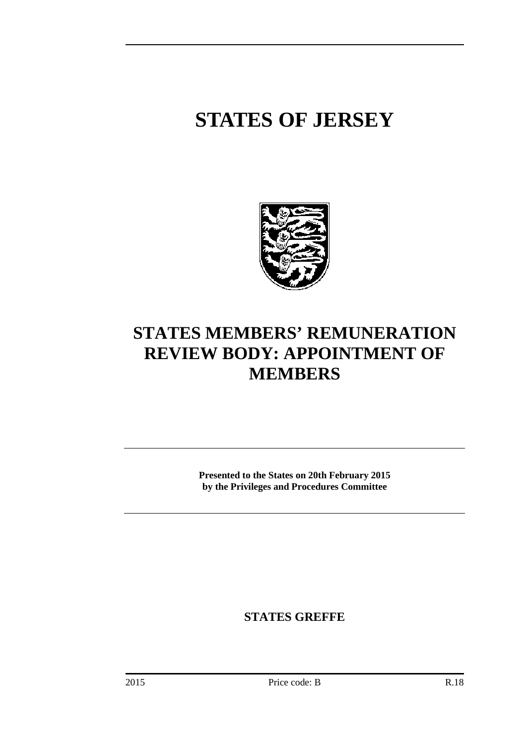# **STATES OF JERSEY**



## **STATES MEMBERS' REMUNERATION REVIEW BODY: APPOINTMENT OF MEMBERS**

**Presented to the States on 20th February 2015 by the Privileges and Procedures Committee** 

**STATES GREFFE**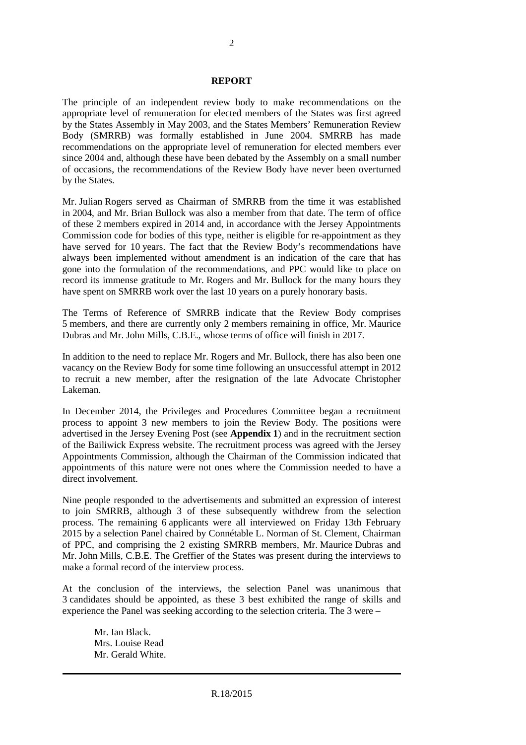#### **REPORT**

The principle of an independent review body to make recommendations on the appropriate level of remuneration for elected members of the States was first agreed by the States Assembly in May 2003, and the States Members' Remuneration Review Body (SMRRB) was formally established in June 2004. SMRRB has made recommendations on the appropriate level of remuneration for elected members ever since 2004 and, although these have been debated by the Assembly on a small number of occasions, the recommendations of the Review Body have never been overturned by the States.

Mr. Julian Rogers served as Chairman of SMRRB from the time it was established in 2004, and Mr. Brian Bullock was also a member from that date. The term of office of these 2 members expired in 2014 and, in accordance with the Jersey Appointments Commission code for bodies of this type, neither is eligible for re-appointment as they have served for 10 years. The fact that the Review Body's recommendations have always been implemented without amendment is an indication of the care that has gone into the formulation of the recommendations, and PPC would like to place on record its immense gratitude to Mr. Rogers and Mr. Bullock for the many hours they have spent on SMRRB work over the last 10 years on a purely honorary basis.

The Terms of Reference of SMRRB indicate that the Review Body comprises 5 members, and there are currently only 2 members remaining in office, Mr. Maurice Dubras and Mr. John Mills, C.B.E., whose terms of office will finish in 2017.

In addition to the need to replace Mr. Rogers and Mr. Bullock, there has also been one vacancy on the Review Body for some time following an unsuccessful attempt in 2012 to recruit a new member, after the resignation of the late Advocate Christopher Lakeman.

In December 2014, the Privileges and Procedures Committee began a recruitment process to appoint 3 new members to join the Review Body. The positions were advertised in the Jersey Evening Post (see **Appendix 1**) and in the recruitment section of the Bailiwick Express website. The recruitment process was agreed with the Jersey Appointments Commission, although the Chairman of the Commission indicated that appointments of this nature were not ones where the Commission needed to have a direct involvement.

Nine people responded to the advertisements and submitted an expression of interest to join SMRRB, although 3 of these subsequently withdrew from the selection process. The remaining 6 applicants were all interviewed on Friday 13th February 2015 by a selection Panel chaired by Connétable L. Norman of St. Clement, Chairman of PPC, and comprising the 2 existing SMRRB members, Mr. Maurice Dubras and Mr. John Mills, C.B.E. The Greffier of the States was present during the interviews to make a formal record of the interview process.

At the conclusion of the interviews, the selection Panel was unanimous that 3 candidates should be appointed, as these 3 best exhibited the range of skills and experience the Panel was seeking according to the selection criteria. The 3 were –

Mr. Ian Black. Mrs. Louise Read Mr. Gerald White.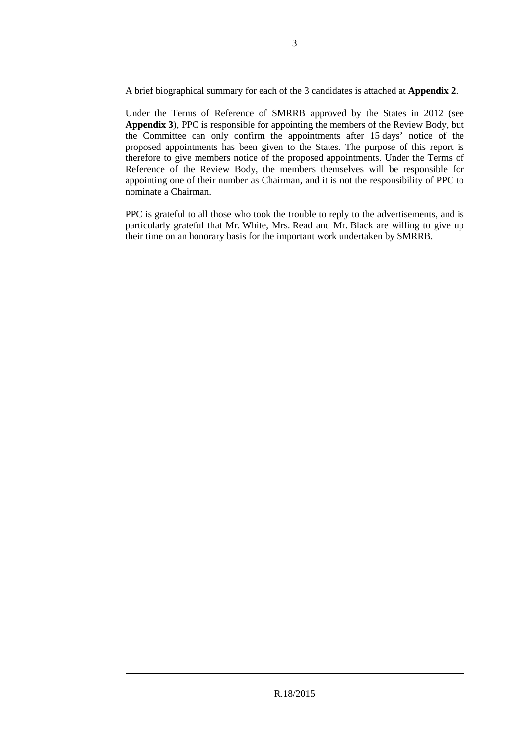A brief biographical summary for each of the 3 candidates is attached at **Appendix 2**.

Under the Terms of Reference of SMRRB approved by the States in 2012 (see **Appendix 3**), PPC is responsible for appointing the members of the Review Body, but the Committee can only confirm the appointments after 15 days' notice of the proposed appointments has been given to the States. The purpose of this report is therefore to give members notice of the proposed appointments. Under the Terms of Reference of the Review Body, the members themselves will be responsible for appointing one of their number as Chairman, and it is not the responsibility of PPC to nominate a Chairman.

PPC is grateful to all those who took the trouble to reply to the advertisements, and is particularly grateful that Mr. White, Mrs. Read and Mr. Black are willing to give up their time on an honorary basis for the important work undertaken by SMRRB.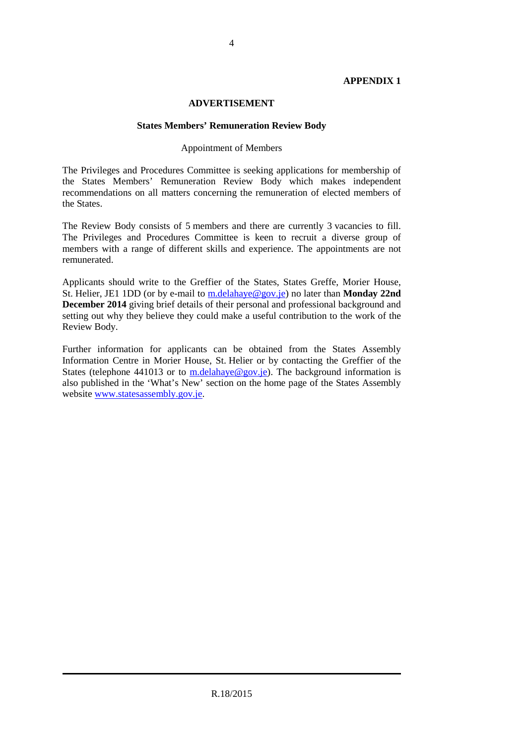#### **APPENDIX 1**

#### **ADVERTISEMENT**

#### **States Members' Remuneration Review Body**

#### Appointment of Members

The Privileges and Procedures Committee is seeking applications for membership of the States Members' Remuneration Review Body which makes independent recommendations on all matters concerning the remuneration of elected members of the States.

The Review Body consists of 5 members and there are currently 3 vacancies to fill. The Privileges and Procedures Committee is keen to recruit a diverse group of members with a range of different skills and experience. The appointments are not remunerated.

Applicants should write to the Greffier of the States, States Greffe, Morier House, St. Helier, JE1 1DD (or by e-mail to m.delahaye@gov.je) no later than **Monday 22nd December 2014** giving brief details of their personal and professional background and setting out why they believe they could make a useful contribution to the work of the Review Body.

Further information for applicants can be obtained from the States Assembly Information Centre in Morier House, St. Helier or by contacting the Greffier of the States (telephone 441013 or to m.delahaye@gov.je). The background information is also published in the 'What's New' section on the home page of the States Assembly website www.statesassembly.gov.je.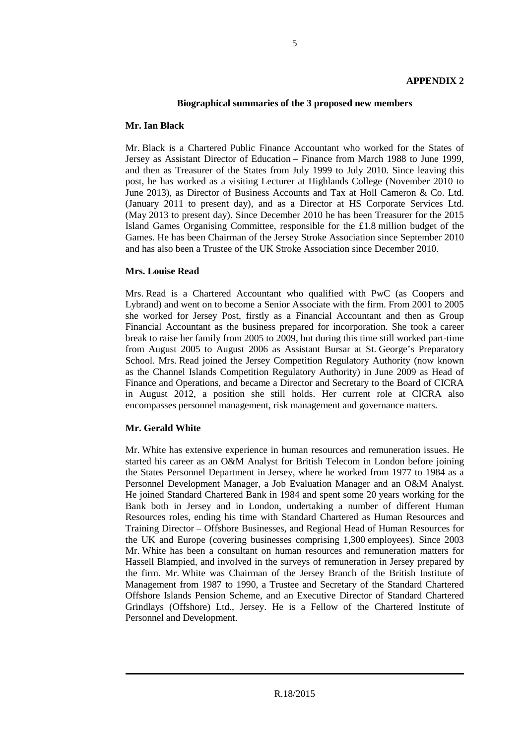#### **Biographical summaries of the 3 proposed new members**

#### **Mr. Ian Black**

Mr. Black is a Chartered Public Finance Accountant who worked for the States of Jersey as Assistant Director of Education – Finance from March 1988 to June 1999, and then as Treasurer of the States from July 1999 to July 2010. Since leaving this post, he has worked as a visiting Lecturer at Highlands College (November 2010 to June 2013), as Director of Business Accounts and Tax at Holl Cameron & Co. Ltd. (January 2011 to present day), and as a Director at HS Corporate Services Ltd. (May 2013 to present day). Since December 2010 he has been Treasurer for the 2015 Island Games Organising Committee, responsible for the £1.8 million budget of the Games. He has been Chairman of the Jersey Stroke Association since September 2010 and has also been a Trustee of the UK Stroke Association since December 2010.

#### **Mrs. Louise Read**

Mrs. Read is a Chartered Accountant who qualified with PwC (as Coopers and Lybrand) and went on to become a Senior Associate with the firm. From 2001 to 2005 she worked for Jersey Post, firstly as a Financial Accountant and then as Group Financial Accountant as the business prepared for incorporation. She took a career break to raise her family from 2005 to 2009, but during this time still worked part-time from August 2005 to August 2006 as Assistant Bursar at St. George's Preparatory School. Mrs. Read joined the Jersey Competition Regulatory Authority (now known as the Channel Islands Competition Regulatory Authority) in June 2009 as Head of Finance and Operations, and became a Director and Secretary to the Board of CICRA in August 2012, a position she still holds. Her current role at CICRA also encompasses personnel management, risk management and governance matters.

### **Mr. Gerald White**

Mr. White has extensive experience in human resources and remuneration issues. He started his career as an O&M Analyst for British Telecom in London before joining the States Personnel Department in Jersey, where he worked from 1977 to 1984 as a Personnel Development Manager, a Job Evaluation Manager and an O&M Analyst. He joined Standard Chartered Bank in 1984 and spent some 20 years working for the Bank both in Jersey and in London, undertaking a number of different Human Resources roles, ending his time with Standard Chartered as Human Resources and Training Director – Offshore Businesses, and Regional Head of Human Resources for the UK and Europe (covering businesses comprising 1,300 employees). Since 2003 Mr. White has been a consultant on human resources and remuneration matters for Hassell Blampied, and involved in the surveys of remuneration in Jersey prepared by the firm. Mr. White was Chairman of the Jersey Branch of the British Institute of Management from 1987 to 1990, a Trustee and Secretary of the Standard Chartered Offshore Islands Pension Scheme, and an Executive Director of Standard Chartered Grindlays (Offshore) Ltd., Jersey. He is a Fellow of the Chartered Institute of Personnel and Development.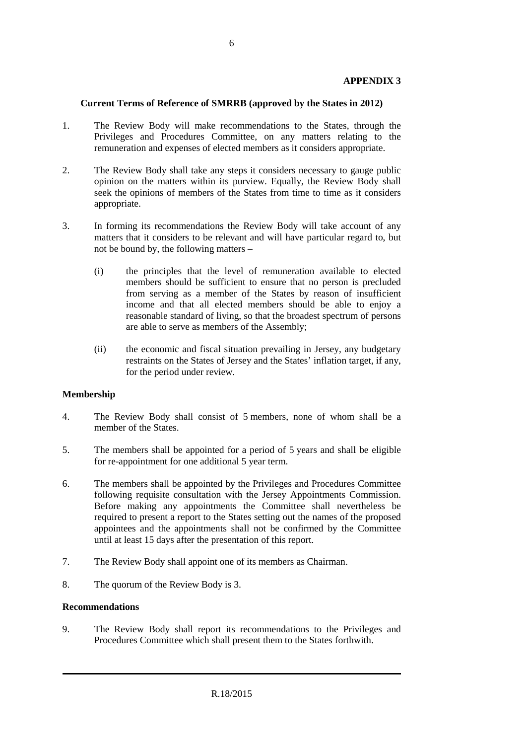#### **APPENDIX 3**

#### **Current Terms of Reference of SMRRB (approved by the States in 2012)**

- 1. The Review Body will make recommendations to the States, through the Privileges and Procedures Committee, on any matters relating to the remuneration and expenses of elected members as it considers appropriate.
- 2. The Review Body shall take any steps it considers necessary to gauge public opinion on the matters within its purview. Equally, the Review Body shall seek the opinions of members of the States from time to time as it considers appropriate.
- 3. In forming its recommendations the Review Body will take account of any matters that it considers to be relevant and will have particular regard to, but not be bound by, the following matters –
	- (i) the principles that the level of remuneration available to elected members should be sufficient to ensure that no person is precluded from serving as a member of the States by reason of insufficient income and that all elected members should be able to enjoy a reasonable standard of living, so that the broadest spectrum of persons are able to serve as members of the Assembly;
	- (ii) the economic and fiscal situation prevailing in Jersey, any budgetary restraints on the States of Jersey and the States' inflation target, if any, for the period under review.

### **Membership**

- 4. The Review Body shall consist of 5 members, none of whom shall be a member of the States.
- 5. The members shall be appointed for a period of 5 years and shall be eligible for re-appointment for one additional 5 year term.
- 6. The members shall be appointed by the Privileges and Procedures Committee following requisite consultation with the Jersey Appointments Commission. Before making any appointments the Committee shall nevertheless be required to present a report to the States setting out the names of the proposed appointees and the appointments shall not be confirmed by the Committee until at least 15 days after the presentation of this report.
- 7. The Review Body shall appoint one of its members as Chairman.
- 8. The quorum of the Review Body is 3.

#### **Recommendations**

9. The Review Body shall report its recommendations to the Privileges and Procedures Committee which shall present them to the States forthwith.